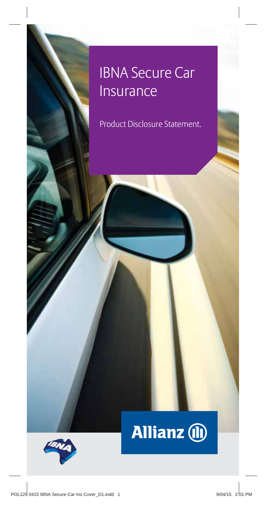

Product Disclosure Statement.



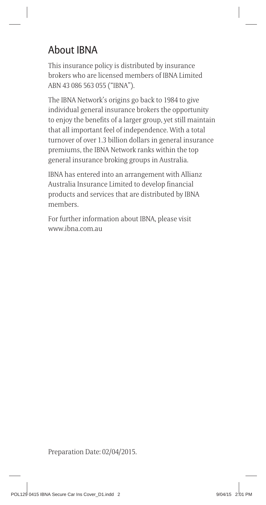## About IBNA

This insurance policy is distributed by insurance brokers who are licensed members of IBNA Limited ABN 43 086 563 055 ("IBNA").

The IBNA Network's origins go back to 1984 to give individual general insurance brokers the opportunity to enjoy the benefits of a larger group, yet still maintain that all important feel of independence. With a total turnover of over 1.3 billion dollars in general insurance premiums, the IBNA Network ranks within the top general insurance broking groups in Australia.

IBNA has entered into an arrangement with Allianz Australia Insurance Limited to develop financial products and services that are distributed by IBNA members.

For further information about IBNA, please visit www.ibna.com.au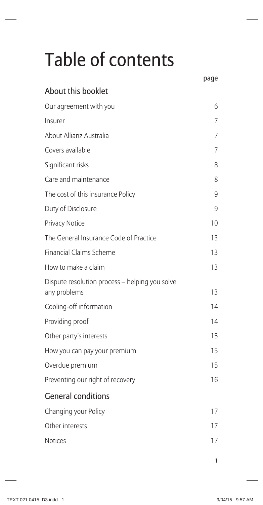# Table of contents

|                                                                | page |
|----------------------------------------------------------------|------|
| About this booklet                                             |      |
| Our agreement with you                                         | 6    |
| Insurer                                                        | 7    |
| About Allianz Australia                                        | 7    |
| Covers available                                               | 7    |
| Significant risks                                              | 8    |
| Care and maintenance                                           | 8    |
| The cost of this insurance Policy                              | 9    |
| Duty of Disclosure                                             | 9    |
| Privacy Notice                                                 | 10   |
| The General Insurance Code of Practice                         | 13   |
| <b>Financial Claims Scheme</b>                                 | 13   |
| How to make a claim                                            | 13   |
| Dispute resolution process - helping you solve<br>any problems | 13   |
| Cooling-off information                                        | 14   |
| Providing proof                                                | 14   |
| Other party's interests                                        | 15   |
| How you can pay your premium                                   | 15   |
| Overdue premium                                                | 15   |
| Preventing our right of recovery                               | 16   |
| <b>General conditions</b>                                      |      |
| Changing your Policy                                           | 17   |
| Other interests                                                | 17   |
| <b>Notices</b>                                                 | 17   |
|                                                                |      |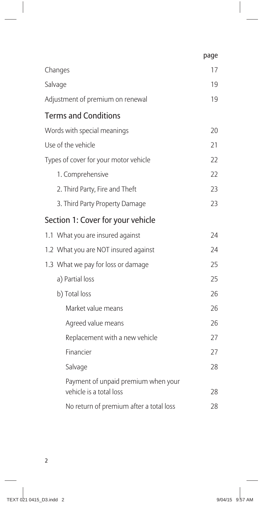|         |                                                                | page |
|---------|----------------------------------------------------------------|------|
| Changes |                                                                | 17   |
| Salvage |                                                                | 19   |
|         | Adjustment of premium on renewal                               | 19   |
|         | <b>Terms and Conditions</b>                                    |      |
|         | Words with special meanings                                    | 20   |
|         | Use of the vehicle                                             | 21   |
|         | Types of cover for your motor vehicle                          | 22   |
|         | 1. Comprehensive                                               | 22   |
|         | 2. Third Party, Fire and Theft                                 | 23   |
|         | 3. Third Party Property Damage                                 | 23   |
|         | Section 1: Cover for your vehicle                              |      |
|         | 1.1 What you are insured against                               | 24   |
|         | 1.2 What you are NOT insured against                           | 24   |
|         | 1.3 What we pay for loss or damage                             | 25   |
|         | a) Partial loss                                                | 25   |
|         | b) Total loss                                                  | 26   |
|         | Market value means                                             | 26   |
|         | Agreed value means                                             | 26   |
|         | Replacement with a new vehicle                                 | 27   |
|         | Financier                                                      | 27   |
|         | Salvage                                                        | 28   |
|         | Payment of unpaid premium when your<br>vehicle is a total loss | 28   |
|         | No return of premium after a total loss                        | 28   |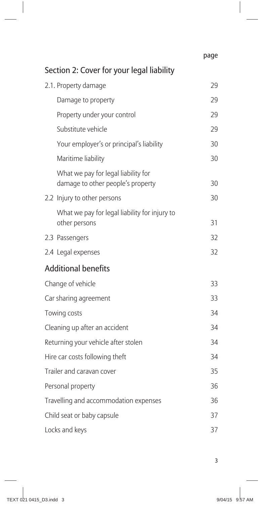page

### Section 2: Cover for your legal liability

| 2.1. Property damage                                                     | 29 |
|--------------------------------------------------------------------------|----|
| Damage to property                                                       | 29 |
| Property under your control                                              | 29 |
| Substitute vehicle                                                       | 29 |
| Your employer's or principal's liability                                 | 30 |
| Maritime liability                                                       | 30 |
| What we pay for legal liability for<br>damage to other people's property | 30 |
| 2.2 Injury to other persons                                              | 30 |
| What we pay for legal liability for injury to<br>other persons           | 31 |
| 2.3 Passengers                                                           | 32 |
| 2.4 Legal expenses                                                       | 32 |
| <b>Additional benefits</b>                                               |    |
| Change of vehicle                                                        | 33 |
| Car sharing agreement                                                    | 33 |
| Towing costs                                                             | 34 |
| Cleaning up after an accident                                            | 34 |
| Returning your vehicle after stolen                                      | 34 |
| Hire car costs following theft                                           | 34 |
| Trailer and caravan cover                                                | 35 |
| Personal property                                                        | 36 |
| Travelling and accommodation expenses                                    | 36 |
| Child seat or baby capsule                                               | 37 |
| Locks and keys                                                           | 37 |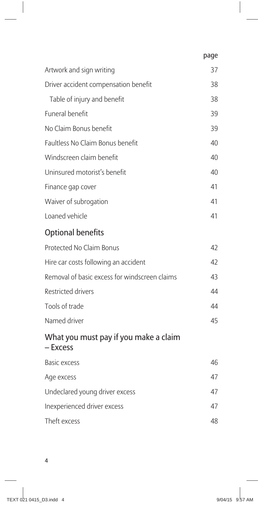|                                                   | page |
|---------------------------------------------------|------|
| Artwork and sign writing                          | 37   |
| Driver accident compensation benefit              | 38   |
| Table of injury and benefit                       | 38   |
| <b>Funeral benefit</b>                            | 39   |
| No Claim Bonus benefit                            | 39   |
| Faultless No Claim Bonus benefit                  | 40   |
| Windscreen claim benefit                          | 40   |
| Uninsured motorist's benefit                      | 40   |
| Finance gap cover                                 | 41   |
| Waiver of subrogation                             | 41   |
| Loaned vehicle                                    | 41   |
| <b>Optional benefits</b>                          |      |
| Protected No Claim Bonus                          | 42   |
| Hire car costs following an accident              | 42   |
| Removal of basic excess for windscreen claims     | 43   |
| Restricted drivers                                | 44   |
| Tools of trade                                    | 44   |
| Named driver                                      | 45   |
| What you must pay if you make a claim<br>- Excess |      |
| Basic excess                                      | 46   |
| Age excess                                        | 47   |
| Undeclared young driver excess                    | 47   |
| Inexperienced driver excess                       | 47   |
| Theft excess                                      | 48   |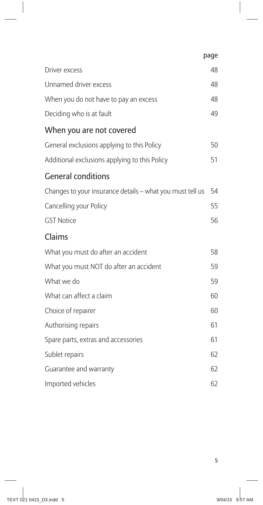|                                                           | page |
|-----------------------------------------------------------|------|
| Driver excess                                             | 48   |
| Unnamed driver excess                                     | 48   |
| When you do not have to pay an excess                     | 48   |
| Deciding who is at fault                                  | 49   |
| When you are not covered                                  |      |
| General exclusions applying to this Policy                | 50   |
| Additional exclusions applying to this Policy             | 51   |
| <b>General conditions</b>                                 |      |
| Changes to your insurance details - what you must tell us | 54   |
| Cancelling your Policy                                    | 55   |
| <b>GST Notice</b>                                         | 56   |
| Claims                                                    |      |
| What you must do after an accident                        | 58   |
| What you must NOT do after an accident                    | 59   |
| What we do                                                | 59   |
| What can affect a claim                                   | 60   |
| Choice of repairer                                        | 60   |
| Authorising repairs                                       | 61   |
| Spare parts, extras and accessories                       | 61   |
| Sublet repairs                                            | 62   |
| Guarantee and warranty                                    | 62   |
| Imported vehicles                                         | 62   |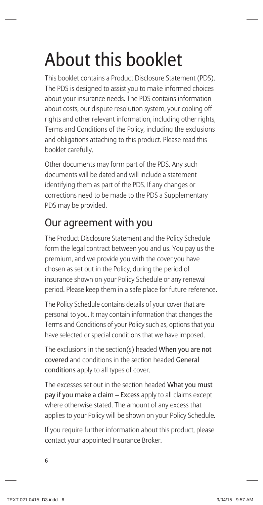# About this booklet

This booklet contains a Product Disclosure Statement (PDS). The PDS is designed to assist you to make informed choices about your insurance needs. The PDS contains information about costs, our dispute resolution system, your cooling off rights and other relevant information, including other rights, Terms and Conditions of the Policy, including the exclusions and obligations attaching to this product. Please read this booklet carefully.

Other documents may form part of the PDS. Any such documents will be dated and will include a statement identifying them as part of the PDS. If any changes or corrections need to be made to the PDS a Supplementary PDS may be provided.

## Our agreement with you

The Product Disclosure Statement and the Policy Schedule form the legal contract between you and us. You pay us the premium, and we provide you with the cover you have chosen as set out in the Policy, during the period of insurance shown on your Policy Schedule or any renewal period. Please keep them in a safe place for future reference.

The Policy Schedule contains details of your cover that are personal to you. It may contain information that changes the Terms and Conditions of your Policy such as, options that you have selected or special conditions that we have imposed.

The exclusions in the section(s) headed When you are not covered and conditions in the section headed General conditions apply to all types of cover.

The excesses set out in the section headed What you must pay if you make a claim – Excess apply to all claims except where otherwise stated. The amount of any excess that applies to your Policy will be shown on your Policy Schedule.

If you require further information about this product, please contact your appointed Insurance Broker.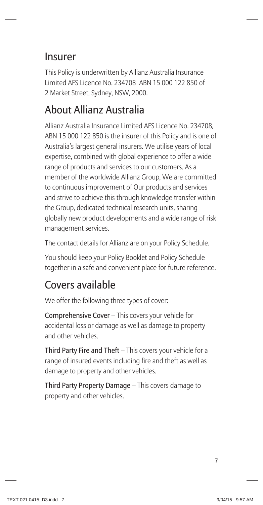## Insurer

This Policy is underwritten by Allianz Australia Insurance Limited AFS Licence No. 234708 ABN 15 000 122 850 of 2 Market Street, Sydney, NSW, 2000.

## About Allianz Australia

Allianz Australia Insurance Limited AFS Licence No. 234708, ABN 15 000 122 850 is the insurer of this Policy and is one of Australia's largest general insurers. We utilise years of local expertise, combined with global experience to offer a wide range of products and services to our customers. As a member of the worldwide Allianz Group, We are committed to continuous improvement of Our products and services and strive to achieve this through knowledge transfer within the Group, dedicated technical research units, sharing globally new product developments and a wide range of risk management services.

The contact details for Allianz are on your Policy Schedule.

You should keep your Policy Booklet and Policy Schedule together in a safe and convenient place for future reference.

# Covers available

We offer the following three types of cover:

Comprehensive Cover – This covers your vehicle for accidental loss or damage as well as damage to property and other vehicles.

Third Party Fire and Theft – This covers your vehicle for a range of insured events including fire and theft as well as damage to property and other vehicles.

Third Party Property Damage – This covers damage to property and other vehicles.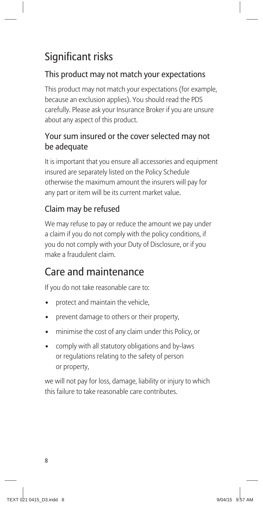# Significant risks

#### This product may not match your expectations

This product may not match your expectations (for example, because an exclusion applies). You should read the PDS carefully. Please ask your Insurance Broker if you are unsure about any aspect of this product.

#### Your sum insured or the cover selected may not be adequate

It is important that you ensure all accessories and equipment insured are separately listed on the Policy Schedule otherwise the maximum amount the insurers will pay for any part or item will be its current market value.

### Claim may be refused

We may refuse to pay or reduce the amount we pay under a claim if you do not comply with the policy conditions, if you do not comply with your Duty of Disclosure, or if you make a fraudulent claim.

## Care and maintenance

If you do not take reasonable care to:

- protect and maintain the vehicle,
- prevent damage to others or their property,
- minimise the cost of any claim under this Policy, or
- comply with all statutory obligations and by-laws or regulations relating to the safety of person or property,

we will not pay for loss, damage, liability or injury to which this failure to take reasonable care contributes.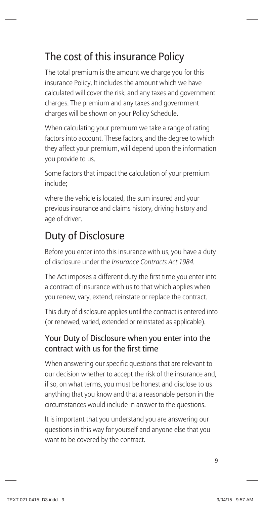# The cost of this insurance Policy

The total premium is the amount we charge you for this insurance Policy. It includes the amount which we have calculated will cover the risk, and any taxes and government charges. The premium and any taxes and government charges will be shown on your Policy Schedule.

When calculating your premium we take a range of rating factors into account. These factors, and the degree to which they affect your premium, will depend upon the information you provide to us.

Some factors that impact the calculation of your premium include;

where the vehicle is located, the sum insured and your previous insurance and claims history, driving history and age of driver.

## Duty of Disclosure

Before you enter into this insurance with us, you have a duty of disclosure under the *Insurance Contracts Act 1984*.

The Act imposes a different duty the first time you enter into a contract of insurance with us to that which applies when you renew, vary, extend, reinstate or replace the contract.

This duty of disclosure applies until the contract is entered into (or renewed, varied, extended or reinstated as applicable).

#### Your Duty of Disclosure when you enter into the contract with us for the first time

When answering our specific questions that are relevant to our decision whether to accept the risk of the insurance and, if so, on what terms, you must be honest and disclose to us anything that you know and that a reasonable person in the circumstances would include in answer to the questions.

It is important that you understand you are answering our questions in this way for yourself and anyone else that you want to be covered by the contract.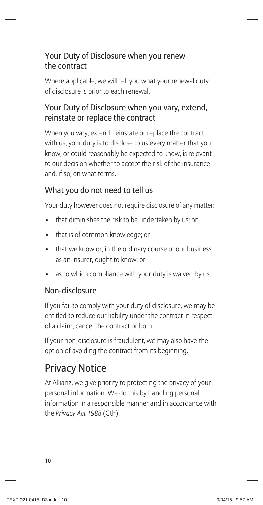#### Your Duty of Disclosure when you renew the contract

Where applicable, we will tell you what your renewal duty of disclosure is prior to each renewal.

#### Your Duty of Disclosure when you vary, extend, reinstate or replace the contract

When you vary, extend, reinstate or replace the contract with us, your duty is to disclose to us every matter that you know, or could reasonably be expected to know, is relevant to our decision whether to accept the risk of the insurance and, if so, on what terms.

#### What you do not need to tell us

Your duty however does not require disclosure of any matter:

- that diminishes the risk to be undertaken by us; or
- that is of common knowledge; or
- that we know or, in the ordinary course of our business as an insurer, ought to know; or
- as to which compliance with your duty is waived by us.

#### Non-disclosure

If you fail to comply with your duty of disclosure, we may be entitled to reduce our liability under the contract in respect of a claim, cancel the contract or both.

If your non-disclosure is fraudulent, we may also have the option of avoiding the contract from its beginning.

# Privacy Notice

At Allianz, we give priority to protecting the privacy of your personal information. We do this by handling personal information in a responsible manner and in accordance with the *Privacy Act 1988* (Cth).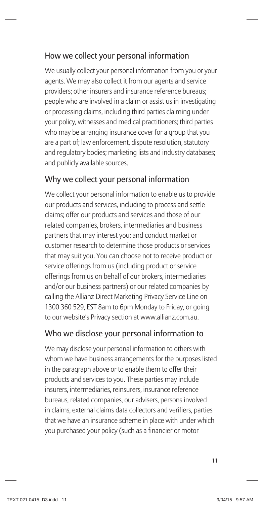#### How we collect your personal information

We usually collect your personal information from you or your agents. We may also collect it from our agents and service providers; other insurers and insurance reference bureaus; people who are involved in a claim or assist us in investigating or processing claims, including third parties claiming under your policy, witnesses and medical practitioners; third parties who may be arranging insurance cover for a group that you are a part of; law enforcement, dispute resolution, statutory and regulatory bodies; marketing lists and industry databases; and publicly available sources.

#### Why we collect your personal information

We collect your personal information to enable us to provide our products and services, including to process and settle claims; offer our products and services and those of our related companies, brokers, intermediaries and business partners that may interest you; and conduct market or customer research to determine those products or services that may suit you. You can choose not to receive product or service offerings from us (including product or service offerings from us on behalf of our brokers, intermediaries and/or our business partners) or our related companies by calling the Allianz Direct Marketing Privacy Service Line on 1300 360 529, EST 8am to 6pm Monday to Friday, or going to our website's Privacy section at www.allianz.com.au.

#### Who we disclose your personal information to

We may disclose your personal information to others with whom we have business arrangements for the purposes listed in the paragraph above or to enable them to offer their products and services to you. These parties may include insurers, intermediaries, reinsurers, insurance reference bureaus, related companies, our advisers, persons involved in claims, external claims data collectors and verifiers, parties that we have an insurance scheme in place with under which you purchased your policy (such as a financier or motor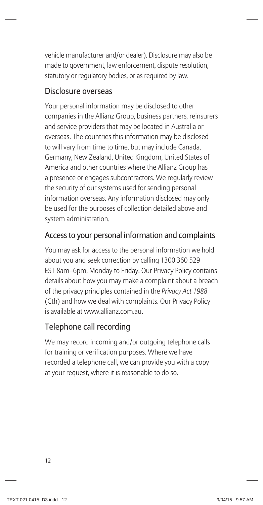vehicle manufacturer and/or dealer). Disclosure may also be made to government, law enforcement, dispute resolution, statutory or regulatory bodies, or as required by law.

#### Disclosure overseas

Your personal information may be disclosed to other companies in the Allianz Group, business partners, reinsurers and service providers that may be located in Australia or overseas. The countries this information may be disclosed to will vary from time to time, but may include Canada, Germany, New Zealand, United Kingdom, United States of America and other countries where the Allianz Group has a presence or engages subcontractors. We regularly review the security of our systems used for sending personal information overseas. Any information disclosed may only be used for the purposes of collection detailed above and system administration.

#### Access to your personal information and complaints

You may ask for access to the personal information we hold about you and seek correction by calling 1300 360 529 EST 8am–6pm, Monday to Friday. Our Privacy Policy contains details about how you may make a complaint about a breach of the privacy principles contained in the *Privacy Act 1988* (Cth) and how we deal with complaints. Our Privacy Policy is available at www.allianz.com.au.

#### Telephone call recording

We may record incoming and/or outgoing telephone calls for training or verification purposes. Where we have recorded a telephone call, we can provide you with a copy at your request, where it is reasonable to do so.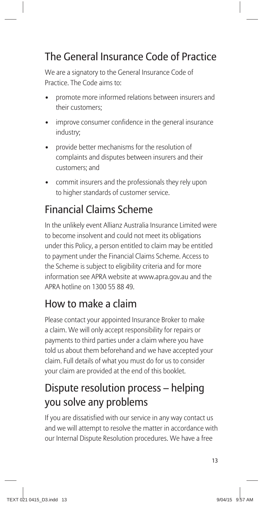## The General Insurance Code of Practice

We are a signatory to the General Insurance Code of Practice. The Code aims to:

- promote more informed relations between insurers and their customers;
- improve consumer confidence in the general insurance industry;
- provide better mechanisms for the resolution of complaints and disputes between insurers and their customers; and
- commit insurers and the professionals they rely upon to higher standards of customer service.

## Financial Claims Scheme

In the unlikely event Allianz Australia Insurance Limited were to become insolvent and could not meet its obligations under this Policy, a person entitled to claim may be entitled to payment under the Financial Claims Scheme. Access to the Scheme is subject to eligibility criteria and for more information see APRA website at www.apra.gov.au and the APRA hotline on 1300 55 88 49.

## How to make a claim

Please contact your appointed Insurance Broker to make a claim. We will only accept responsibility for repairs or payments to third parties under a claim where you have told us about them beforehand and we have accepted your claim. Full details of what you must do for us to consider your claim are provided at the end of this booklet.

## Dispute resolution process – helping you solve any problems

If you are dissatisfied with our service in any way contact us and we will attempt to resolve the matter in accordance with our Internal Dispute Resolution procedures. We have a free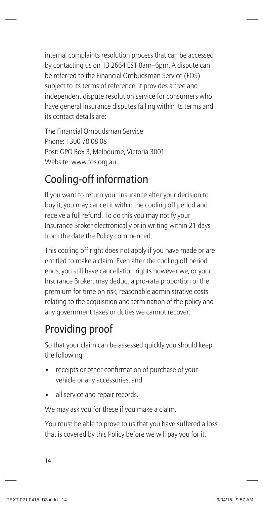internal complaints resolution process that can be accessed by contacting us on 13 2664 EST 8am–6pm. A dispute can be referred to the Financial Ombudsman Service (FOS) subject to its terms of reference. It provides a free and independent dispute resolution service for consumers who have general insurance disputes falling within its terms and its contact details are:

The Financial Ombudsman Service Phone: 1300 78 08 08 Post: GPO Box 3, Melbourne, Victoria 3001 Website: www.fos.org.au

# Cooling-off information

If you want to return your insurance after your decision to buy it, you may cancel it within the cooling off period and receive a full refund. To do this you may notify your Insurance Broker electronically or in writing within 21 days from the date the Policy commenced.

This cooling off right does not apply if you have made or are entitled to make a claim. Even after the cooling off period ends, you still have cancellation rights however we, or your Insurance Broker, may deduct a pro-rata proportion of the premium for time on risk, reasonable administrative costs relating to the acquisition and termination of the policy and any government taxes or duties we cannot recover.

# Providing proof

So that your claim can be assessed quickly you should keep the following:

- receipts or other confirmation of purchase of your vehicle or any accessories, and
- all service and repair records.

We may ask you for these if you make a claim.

You must be able to prove to us that you have suffered a loss that is covered by this Policy before we will pay you for it.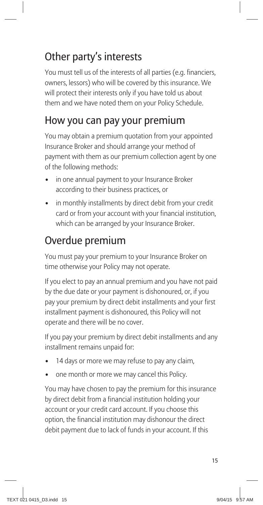# Other party's interests

You must tell us of the interests of all parties (e.g. financiers, owners, lessors) who will be covered by this insurance. We will protect their interests only if you have told us about them and we have noted them on your Policy Schedule.

## How you can pay your premium

You may obtain a premium quotation from your appointed Insurance Broker and should arrange your method of payment with them as our premium collection agent by one of the following methods:

- in one annual payment to your Insurance Broker according to their business practices, or
- in monthly installments by direct debit from your credit card or from your account with your financial institution, which can be arranged by your Insurance Broker.

# Overdue premium

You must pay your premium to your Insurance Broker on time otherwise your Policy may not operate.

If you elect to pay an annual premium and you have not paid by the due date or your payment is dishonoured, or, if you pay your premium by direct debit installments and your first installment payment is dishonoured, this Policy will not operate and there will be no cover.

If you pay your premium by direct debit installments and any installment remains unpaid for:

- 14 days or more we may refuse to pay any claim,
- one month or more we may cancel this Policy.

You may have chosen to pay the premium for this insurance by direct debit from a financial institution holding your account or your credit card account. If you choose this option, the financial institution may dishonour the direct debit payment due to lack of funds in your account. If this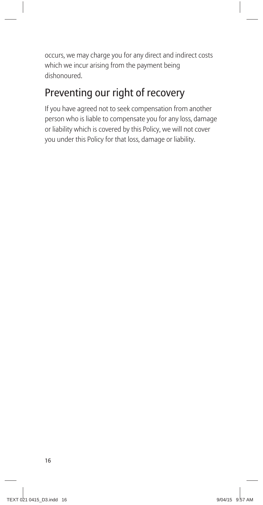occurs, we may charge you for any direct and indirect costs which we incur arising from the payment being dishonoured.

## Preventing our right of recovery

If you have agreed not to seek compensation from another person who is liable to compensate you for any loss, damage or liability which is covered by this Policy, we will not cover you under this Policy for that loss, damage or liability.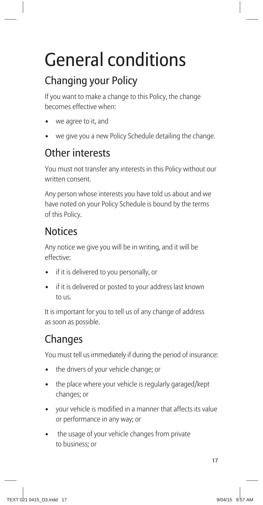# General conditions

## Changing your Policy

If you want to make a change to this Policy, the change becomes effective when:

- we agree to it, and
- we give you a new Policy Schedule detailing the change.

## Other interests

You must not transfer any interests in this Policy without our written consent.

Any person whose interests you have told us about and we have noted on your Policy Schedule is bound by the terms of this Policy.

## **Notices**

Any notice we give you will be in writing, and it will be effective:

- if it is delivered to you personally, or
- if it is delivered or posted to your address last known to us.

It is important for you to tell us of any change of address as soon as possible.

# **Changes**

You must tell us immediately if during the period of insurance:

- the drivers of your vehicle change; or
- the place where your vehicle is regularly garaged/kept changes; or
- your vehicle is modified in a manner that affects its value or performance in any way; or
- the usage of your vehicle changes from private to business; or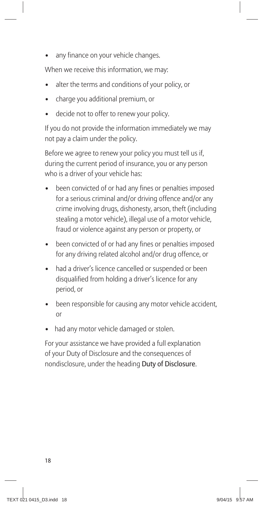any finance on your vehicle changes.

When we receive this information, we may:

- alter the terms and conditions of your policy, or
- charge you additional premium, or
- decide not to offer to renew your policy.

If you do not provide the information immediately we may not pay a claim under the policy.

Before we agree to renew your policy you must tell us if, during the current period of insurance, you or any person who is a driver of your vehicle has:

- been convicted of or had any fines or penalties imposed for a serious criminal and/or driving offence and/or any crime involving drugs, dishonesty, arson, theft (including stealing a motor vehicle), illegal use of a motor vehicle, fraud or violence against any person or property, or
- been convicted of or had any fines or penalties imposed for any driving related alcohol and/or drug offence, or
- had a driver's licence cancelled or suspended or been disqualified from holding a driver's licence for any period, or
- been responsible for causing any motor vehicle accident, or
- had any motor vehicle damaged or stolen.

For your assistance we have provided a full explanation of your Duty of Disclosure and the consequences of nondisclosure, under the heading Duty of Disclosure.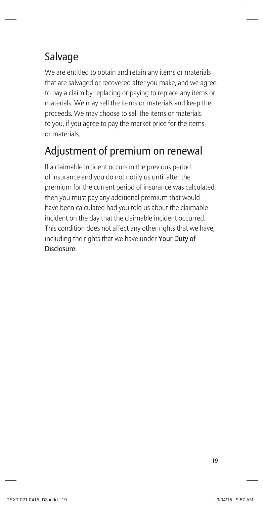# Salvage

We are entitled to obtain and retain any items or materials that are salvaged or recovered after you make, and we agree, to pay a claim by replacing or paying to replace any items or materials. We may sell the items or materials and keep the proceeds. We may choose to sell the items or materials to you, if you agree to pay the market price for the items or materials.

## Adjustment of premium on renewal

If a claimable incident occurs in the previous period of insurance and you do not notify us until after the premium for the current period of insurance was calculated, then you must pay any additional premium that would have been calculated had you told us about the claimable incident on the day that the claimable incident occurred. This condition does not affect any other rights that we have, including the rights that we have under Your Duty of Disclosure.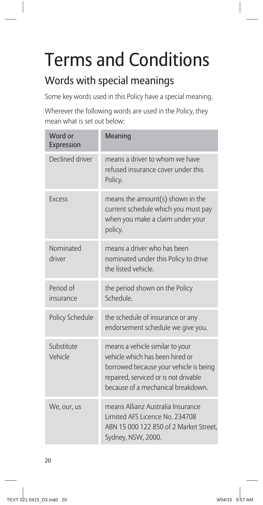# Terms and Conditions

## Words with special meanings

Some key words used in this Policy have a special meaning.

Wherever the following words are used in the Policy, they mean what is set out below:

| Word or<br>Expression  | Meaning                                                                                                                                                                                     |
|------------------------|---------------------------------------------------------------------------------------------------------------------------------------------------------------------------------------------|
| Declined driver        | means a driver to whom we have<br>refused insurance cover under this<br>Policy.                                                                                                             |
| Excess                 | means the amount(s) shown in the<br>current schedule which you must pay<br>when you make a claim under your<br>policy.                                                                      |
| Nominated<br>driver    | means a driver who has been<br>nominated under this Policy to drive<br>the listed vehicle.                                                                                                  |
| Period of<br>insurance | the period shown on the Policy<br>Schedule.                                                                                                                                                 |
| Policy Schedule        | the schedule of insurance or any<br>endorsement schedule we give you.                                                                                                                       |
| Substitute<br>Vehicle  | means a vehicle similar to your<br>vehicle which has been hired or<br>borrowed because your vehicle is being<br>repaired, serviced or is not drivable<br>because of a mechanical breakdown. |
| We, our, us            | means Allianz Australia Insurance<br>Limited AFS Licence No. 234708<br>ABN 15 000 122 850 of 2 Market Street,<br>Sydney, NSW, 2000.                                                         |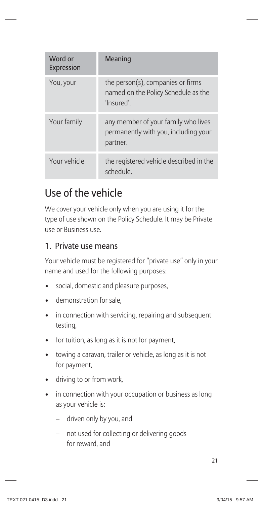| Word or<br>Expression | Meaning                                                                                 |
|-----------------------|-----------------------------------------------------------------------------------------|
| You, your             | the person(s), companies or firms<br>named on the Policy Schedule as the<br>'Insured'.  |
| Your family           | any member of your family who lives<br>permanently with you, including your<br>partner. |
| Your vehicle          | the registered vehicle described in the<br>schedule.                                    |

## Use of the vehicle

We cover your vehicle only when you are using it for the type of use shown on the Policy Schedule. It may be Private use or Business use.

#### 1. Private use means

Your vehicle must be registered for "private use" only in your name and used for the following purposes:

- social, domestic and pleasure purposes,
- demonstration for sale,
- in connection with servicing, repairing and subsequent testing,
- for tuition, as long as it is not for payment,
- towing a caravan, trailer or vehicle, as long as it is not for payment,
- driving to or from work,
- in connection with your occupation or business as long as your vehicle is:
	- driven only by you, and
	- not used for collecting or delivering goods for reward, and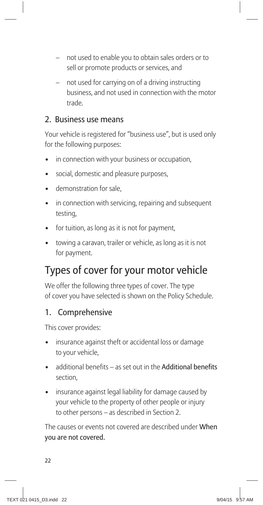- not used to enable you to obtain sales orders or to sell or promote products or services, and
- not used for carrying on of a driving instructing business, and not used in connection with the motor trade.

#### 2. Business use means

Your vehicle is registered for "business use", but is used only for the following purposes:

- in connection with your business or occupation,
- social, domestic and pleasure purposes,
- demonstration for sale,
- in connection with servicing, repairing and subsequent testing,
- for tuition, as long as it is not for payment,
- towing a caravan, trailer or vehicle, as long as it is not for payment.

## Types of cover for your motor vehicle

We offer the following three types of cover. The type of cover you have selected is shown on the Policy Schedule.

#### 1. Comprehensive

This cover provides:

- insurance against theft or accidental loss or damage to your vehicle,
- additional benefits as set out in the **Additional benefits** section,
- insurance against legal liability for damage caused by your vehicle to the property of other people or injury to other persons – as described in Section 2.

The causes or events not covered are described under When you are not covered.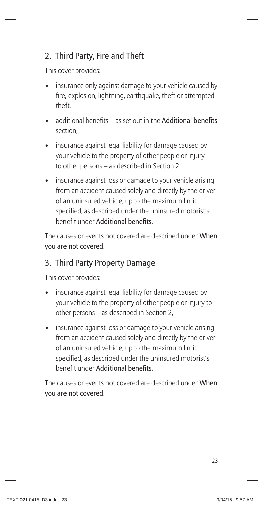#### 2. Third Party, Fire and Theft

This cover provides:

- insurance only against damage to your vehicle caused by fire, explosion, lightning, earthquake, theft or attempted theft,
- additional benefits as set out in the Additional benefits section,
- insurance against legal liability for damage caused by your vehicle to the property of other people or injury to other persons – as described in Section 2.
- insurance against loss or damage to your vehicle arising from an accident caused solely and directly by the driver of an uninsured vehicle, up to the maximum limit specified, as described under the uninsured motorist's benefit under Additional benefits.

The causes or events not covered are described under When you are not covered.

#### 3. Third Party Property Damage

This cover provides:

- insurance against legal liability for damage caused by your vehicle to the property of other people or injury to other persons – as described in Section 2,
- insurance against loss or damage to your vehicle arising from an accident caused solely and directly by the driver of an uninsured vehicle, up to the maximum limit specified, as described under the uninsured motorist's benefit under Additional benefits.

The causes or events not covered are described under When you are not covered.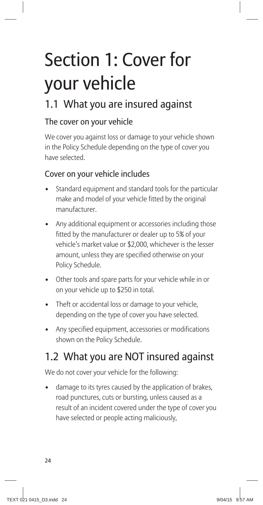# Section 1: Cover for your vehicle

## 1.1 What you are insured against

#### The cover on your vehicle

We cover you against loss or damage to your vehicle shown in the Policy Schedule depending on the type of cover you have selected.

#### Cover on your vehicle includes

- Standard equipment and standard tools for the particular make and model of your vehicle fitted by the original manufacturer.
- Any additional equipment or accessories including those fitted by the manufacturer or dealer up to 5% of your vehicle's market value or \$2,000, whichever is the lesser amount, unless they are specified otherwise on your Policy Schedule.
- Other tools and spare parts for your vehicle while in or on your vehicle up to \$250 in total.
- Theft or accidental loss or damage to your vehicle, depending on the type of cover you have selected.
- Any specified equipment, accessories or modifications shown on the Policy Schedule.

## 1.2 What you are NOT insured against

We do not cover your vehicle for the following:

• damage to its tyres caused by the application of brakes, road punctures, cuts or bursting, unless caused as a result of an incident covered under the type of cover you have selected or people acting maliciously,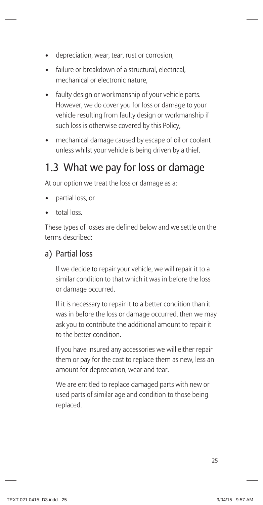- depreciation, wear, tear, rust or corrosion,
- failure or breakdown of a structural, electrical, mechanical or electronic nature,
- faulty design or workmanship of your vehicle parts. However, we do cover you for loss or damage to your vehicle resulting from faulty design or workmanship if such loss is otherwise covered by this Policy,
- mechanical damage caused by escape of oil or coolant unless whilst your vehicle is being driven by a thief.

## 1.3 What we pay for loss or damage

At our option we treat the loss or damage as a:

- partial loss, or
- total loss.

These types of losses are defined below and we settle on the terms described:

#### a) Partial loss

 If we decide to repair your vehicle, we will repair it to a similar condition to that which it was in before the loss or damage occurred.

 If it is necessary to repair it to a better condition than it was in before the loss or damage occurred, then we may ask you to contribute the additional amount to repair it to the better condition.

 If you have insured any accessories we will either repair them or pay for the cost to replace them as new, less an amount for depreciation, wear and tear.

 We are entitled to replace damaged parts with new or used parts of similar age and condition to those being replaced.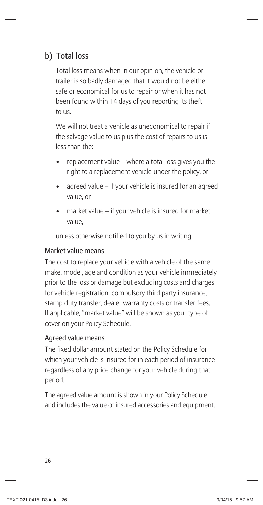### b) Total loss

 Total loss means when in our opinion, the vehicle or trailer is so badly damaged that it would not be either safe or economical for us to repair or when it has not been found within 14 days of you reporting its theft to us.

 We will not treat a vehicle as uneconomical to repair if the salvage value to us plus the cost of repairs to us is less than the:

- replacement value where a total loss gives you the right to a replacement vehicle under the policy, or
- agreed value if your vehicle is insured for an agreed value, or
- market value if your vehicle is insured for market value,

unless otherwise notified to you by us in writing.

#### Market value means

The cost to replace your vehicle with a vehicle of the same make, model, age and condition as your vehicle immediately prior to the loss or damage but excluding costs and charges for vehicle registration, compulsory third party insurance, stamp duty transfer, dealer warranty costs or transfer fees. If applicable, "market value" will be shown as your type of cover on your Policy Schedule.

#### Agreed value means

The fixed dollar amount stated on the Policy Schedule for which your vehicle is insured for in each period of insurance regardless of any price change for your vehicle during that period.

The agreed value amount is shown in your Policy Schedule and includes the value of insured accessories and equipment.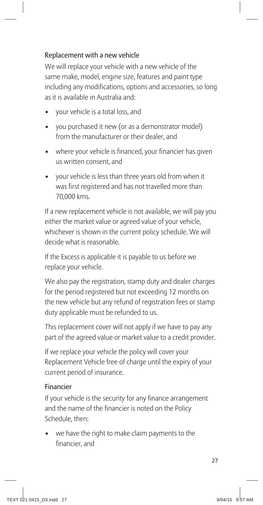#### Replacement with a new vehicle

We will replace your vehicle with a new vehicle of the same make, model, engine size, features and paint type including any modifications, options and accessories, so long as it is available in Australia and:

- your vehicle is a total loss, and
- you purchased it new (or as a demonstrator model) from the manufacturer or their dealer, and
- where your vehicle is financed, your financier has given us written consent, and
- your vehicle is less than three years old from when it was first registered and has not travelled more than 70,000 kms.

If a new replacement vehicle is not available, we will pay you either the market value or agreed value of your vehicle, whichever is shown in the current policy schedule. We will decide what is reasonable.

If the Excess is applicable it is payable to us before we replace your vehicle.

We also pay the registration, stamp duty and dealer charges for the period registered but not exceeding 12 months on the new vehicle but any refund of registration fees or stamp duty applicable must be refunded to us.

This replacement cover will not apply if we have to pay any part of the agreed value or market value to a credit provider.

If we replace your vehicle the policy will cover your Replacement Vehicle free of charge until the expiry of your current period of insurance.

#### Financier

If your vehicle is the security for any finance arrangement and the name of the financier is noted on the Policy Schedule, then:

we have the right to make claim payments to the financier, and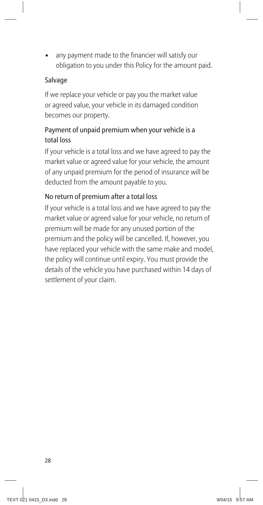• any payment made to the financier will satisfy our obligation to you under this Policy for the amount paid.

#### Salvage

If we replace your vehicle or pay you the market value or agreed value, your vehicle in its damaged condition becomes our property.

#### Payment of unpaid premium when your vehicle is a total loss

If your vehicle is a total loss and we have agreed to pay the market value or agreed value for your vehicle, the amount of any unpaid premium for the period of insurance will be deducted from the amount payable to you.

#### No return of premium after a total loss

If your vehicle is a total loss and we have agreed to pay the market value or agreed value for your vehicle, no return of premium will be made for any unused portion of the premium and the policy will be cancelled. If, however, you have replaced your vehicle with the same make and model, the policy will continue until expiry. You must provide the details of the vehicle you have purchased within 14 days of settlement of your claim.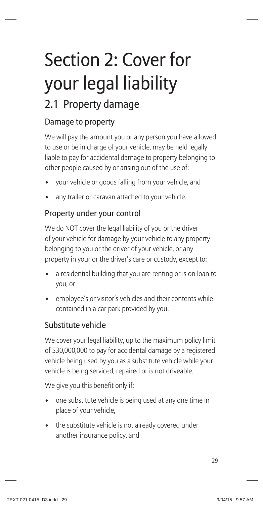# Section 2: Cover for your legal liability

# 2.1 Property damage

### Damage to property

We will pay the amount you or any person you have allowed to use or be in charge of your vehicle, may be held legally liable to pay for accidental damage to property belonging to other people caused by or arising out of the use of:

- your vehicle or goods falling from your vehicle, and
- any trailer or caravan attached to your vehicle.

#### Property under your control

We do NOT cover the legal liability of you or the driver of your vehicle for damage by your vehicle to any property belonging to you or the driver of your vehicle, or any property in your or the driver's care or custody, except to:

- a residential building that you are renting or is on loan to you, or
- employee's or visitor's vehicles and their contents while contained in a car park provided by you.

#### Substitute vehicle

We cover your legal liability, up to the maximum policy limit of \$30,000,000 to pay for accidental damage by a registered vehicle being used by you as a substitute vehicle while your vehicle is being serviced, repaired or is not driveable.

We give you this benefit only if:

- one substitute vehicle is being used at any one time in place of your vehicle,
- the substitute vehicle is not already covered under another insurance policy, and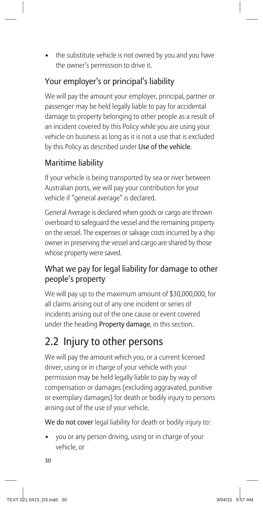the substitute vehicle is not owned by you and you have the owner's permission to drive it.

### Your employer's or principal's liability

We will pay the amount your employer, principal, partner or passenger may be held legally liable to pay for accidental damage to property belonging to other people as a result of an incident covered by this Policy while you are using your vehicle on business as long as it is not a use that is excluded by this Policy as described under Use of the vehicle.

### Maritime liability

If your vehicle is being transported by sea or river between Australian ports, we will pay your contribution for your vehicle if "general average" is declared.

General Average is declared when goods or cargo are thrown overboard to safeguard the vessel and the remaining property on the vessel. The expenses or salvage costs incurred by a ship owner in preserving the vessel and cargo are shared by those whose property were saved.

#### What we pay for legal liability for damage to other people's property

We will pay up to the maximum amount of \$30,000,000, for all claims arising out of any one incident or series of incidents arising out of the one cause or event covered under the heading Property damage, in this section.

## 2.2 Injury to other persons

We will pay the amount which you, or a current licensed driver, using or in charge of your vehicle with your permission may be held legally liable to pay by way of compensation or damages (excluding aggravated, punitive or exemplary damages) for death or bodily injury to persons arising out of the use of your vehicle.

We do not cover legal liability for death or bodily injury to:

• you or any person driving, using or in charge of your vehicle, or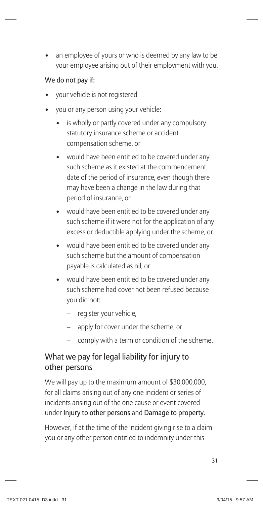an employee of yours or who is deemed by any law to be your employee arising out of their employment with you.

#### We do not pay if:

- your vehicle is not registered
- you or any person using your vehicle:
	- is wholly or partly covered under any compulsory statutory insurance scheme or accident compensation scheme, or
	- would have been entitled to be covered under any such scheme as it existed at the commencement date of the period of insurance, even though there may have been a change in the law during that period of insurance, or
	- would have been entitled to be covered under any such scheme if it were not for the application of any excess or deductible applying under the scheme, or
	- would have been entitled to be covered under any such scheme but the amount of compensation payable is calculated as nil, or
	- would have been entitled to be covered under any such scheme had cover not been refused because you did not:
		- register your vehicle,
		- apply for cover under the scheme, or
		- comply with a term or condition of the scheme.

#### What we pay for legal liability for injury to other persons

We will pay up to the maximum amount of \$30,000,000, for all claims arising out of any one incident or series of incidents arising out of the one cause or event covered under Injury to other persons and Damage to property.

However, if at the time of the incident giving rise to a claim you or any other person entitled to indemnity under this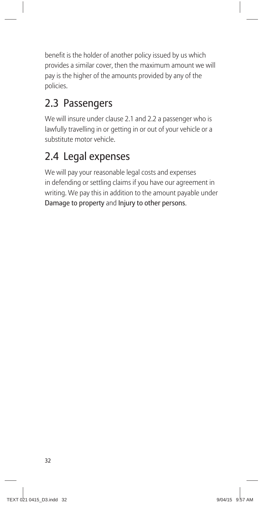benefit is the holder of another policy issued by us which provides a similar cover, then the maximum amount we will pay is the higher of the amounts provided by any of the policies.

# 2.3 Passengers

We will insure under clause 2.1 and 2.2 a passenger who is lawfully travelling in or getting in or out of your vehicle or a substitute motor vehicle.

# 2.4 Legal expenses

We will pay your reasonable legal costs and expenses in defending or settling claims if you have our agreement in writing. We pay this in addition to the amount payable under Damage to property and Injury to other persons.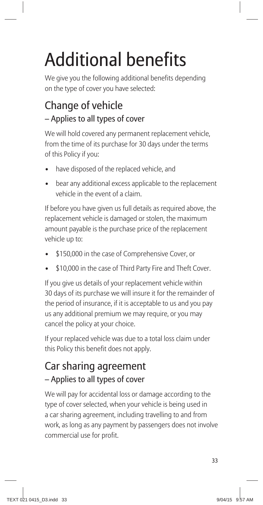# Additional benefits

We give you the following additional benefits depending on the type of cover you have selected:

## Change of vehicle – Applies to all types of cover

We will hold covered any permanent replacement vehicle, from the time of its purchase for 30 days under the terms of this Policy if you:

- have disposed of the replaced vehicle, and
- bear any additional excess applicable to the replacement vehicle in the event of a claim.

If before you have given us full details as required above, the replacement vehicle is damaged or stolen, the maximum amount payable is the purchase price of the replacement vehicle up to:

- \$150,000 in the case of Comprehensive Cover, or
- \$10,000 in the case of Third Party Fire and Theft Cover.

If you give us details of your replacement vehicle within 30 days of its purchase we will insure it for the remainder of the period of insurance, if it is acceptable to us and you pay us any additional premium we may require, or you may cancel the policy at your choice.

If your replaced vehicle was due to a total loss claim under this Policy this benefit does not apply.

## Car sharing agreement – Applies to all types of cover

We will pay for accidental loss or damage according to the type of cover selected, when your vehicle is being used in a car sharing agreement, including travelling to and from work, as long as any payment by passengers does not involve commercial use for profit.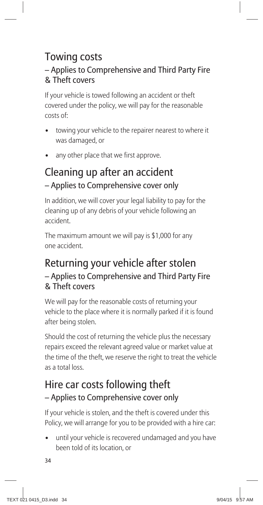# Towing costs

#### – Applies to Comprehensive and Third Party Fire & Theft covers

If your vehicle is towed following an accident or theft covered under the policy, we will pay for the reasonable costs of:

- towing your vehicle to the repairer nearest to where it was damaged, or
- any other place that we first approve.

## Cleaning up after an accident – Applies to Comprehensive cover only

In addition, we will cover your legal liability to pay for the cleaning up of any debris of your vehicle following an accident.

The maximum amount we will pay is \$1,000 for any one accident.

### Returning your vehicle after stolen – Applies to Comprehensive and Third Party Fire & Theft covers

We will pay for the reasonable costs of returning your vehicle to the place where it is normally parked if it is found after being stolen.

Should the cost of returning the vehicle plus the necessary repairs exceed the relevant agreed value or market value at the time of the theft, we reserve the right to treat the vehicle as a total loss.

## Hire car costs following theft – Applies to Comprehensive cover only

If your vehicle is stolen, and the theft is covered under this Policy, we will arrange for you to be provided with a hire car:

• until your vehicle is recovered undamaged and you have been told of its location, or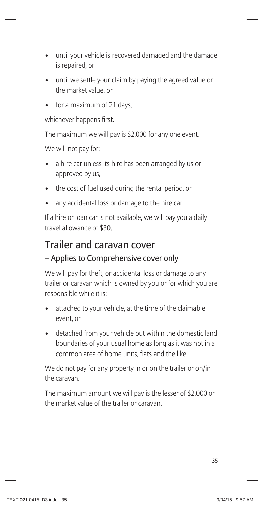- until your vehicle is recovered damaged and the damage is repaired, or
- until we settle your claim by paying the agreed value or the market value, or
- for a maximum of 21 days,

whichever happens first.

The maximum we will pay is \$2,000 for any one event.

We will not pay for:

- a hire car unless its hire has been arranged by us or approved by us,
- the cost of fuel used during the rental period, or
- any accidental loss or damage to the hire car

If a hire or loan car is not available, we will pay you a daily travel allowance of \$30.

#### Trailer and caravan cover

#### – Applies to Comprehensive cover only

We will pay for theft, or accidental loss or damage to any trailer or caravan which is owned by you or for which you are responsible while it is:

- attached to your vehicle, at the time of the claimable event, or
- detached from your vehicle but within the domestic land boundaries of your usual home as long as it was not in a common area of home units, flats and the like.

We do not pay for any property in or on the trailer or on/in the caravan.

The maximum amount we will pay is the lesser of \$2,000 or the market value of the trailer or caravan.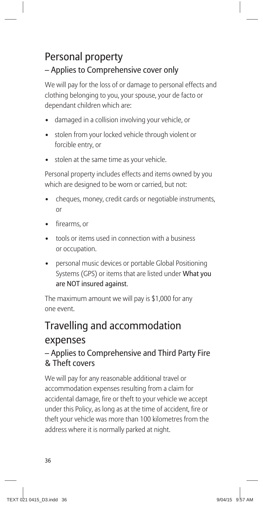## Personal property – Applies to Comprehensive cover only

We will pay for the loss of or damage to personal effects and clothing belonging to you, your spouse, your de facto or dependant children which are:

- damaged in a collision involving your vehicle, or
- stolen from your locked vehicle through violent or forcible entry, or
- stolen at the same time as your vehicle.

Personal property includes effects and items owned by you which are designed to be worn or carried, but not:

- cheques, money, credit cards or negotiable instruments, or
- firearms, or
- tools or items used in connection with a business or occupation.
- personal music devices or portable Global Positioning Systems (GPS) or items that are listed under What you are NOT insured against.

The maximum amount we will pay is \$1,000 for any one event.

## Travelling and accommodation expenses

#### – Applies to Comprehensive and Third Party Fire & Theft covers

We will pay for any reasonable additional travel or accommodation expenses resulting from a claim for accidental damage, fire or theft to your vehicle we accept under this Policy, as long as at the time of accident, fire or theft your vehicle was more than 100 kilometres from the address where it is normally parked at night.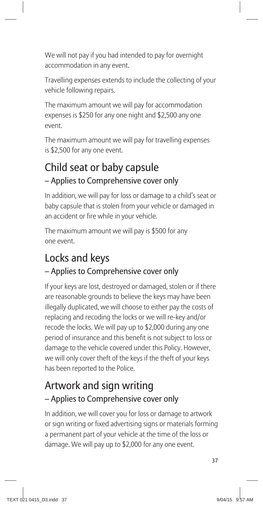We will not pay if you had intended to pay for overnight accommodation in any event.

Travelling expenses extends to include the collecting of your vehicle following repairs.

The maximum amount we will pay for accommodation expenses is \$250 for any one night and \$2,500 any one event.

The maximum amount we will pay for travelling expenses is \$2,500 for any one event.

## Child seat or baby capsule – Applies to Comprehensive cover only

In addition, we will pay for loss or damage to a child's seat or baby capsule that is stolen from your vehicle or damaged in an accident or fire while in your vehicle.

The maximum amount we will pay is \$500 for any one event.

### Locks and keys – Applies to Comprehensive cover only

If your keys are lost, destroyed or damaged, stolen or if there are reasonable grounds to believe the keys may have been illegally duplicated, we will choose to either pay the costs of replacing and recoding the locks or we will re-key and/or recode the locks. We will pay up to \$2,000 during any one period of insurance and this benefit is not subject to loss or damage to the vehicle covered under this Policy. However, we will only cover theft of the keys if the theft of your keys has been reported to the Police.

## Artwork and sign writing – Applies to Comprehensive cover only

In addition, we will cover you for loss or damage to artwork or sign writing or fixed advertising signs or materials forming a permanent part of your vehicle at the time of the loss or damage. We will pay up to \$2,000 for any one event.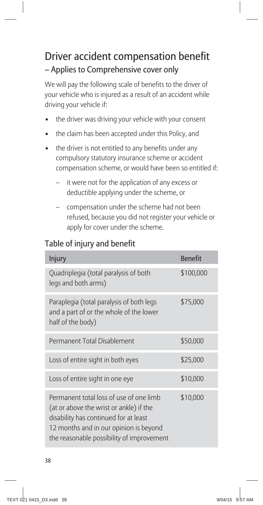## Driver accident compensation benefit – Applies to Comprehensive cover only

We will pay the following scale of benefits to the driver of your vehicle who is injured as a result of an accident while driving your vehicle if:

- the driver was driving your vehicle with your consent
- the claim has been accepted under this Policy, and
- the driver is not entitled to any benefits under any compulsory statutory insurance scheme or accident compensation scheme, or would have been so entitled if:
	- it were not for the application of any excess or deductible applying under the scheme, or
	- compensation under the scheme had not been refused, because you did not register your vehicle or apply for cover under the scheme.

#### Table of injury and benefit

| Injury                                                                                                                                                                                                             | <b>Benefit</b> |
|--------------------------------------------------------------------------------------------------------------------------------------------------------------------------------------------------------------------|----------------|
| Quadriplegia (total paralysis of both<br>legs and both arms)                                                                                                                                                       | \$100,000      |
| Paraplegia (total paralysis of both legs<br>and a part of or the whole of the lower<br>half of the body)                                                                                                           | \$75,000       |
| Permanent Total Disablement                                                                                                                                                                                        | \$50,000       |
| Loss of entire sight in both eyes                                                                                                                                                                                  | \$25,000       |
| Loss of entire sight in one eye                                                                                                                                                                                    | \$10,000       |
| Permanent total loss of use of one limb<br>(at or above the wrist or ankle) if the<br>disability has continued for at least<br>12 months and in our opinion is beyond<br>the reasonable possibility of improvement | \$10,000       |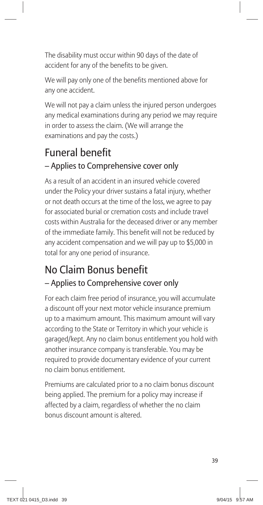The disability must occur within 90 days of the date of accident for any of the benefits to be given.

We will pay only one of the benefits mentioned above for any one accident.

We will not pay a claim unless the injured person undergoes any medical examinations during any period we may require in order to assess the claim. (We will arrange the examinations and pay the costs.)

## Funeral benefit – Applies to Comprehensive cover only

As a result of an accident in an insured vehicle covered under the Policy your driver sustains a fatal injury, whether or not death occurs at the time of the loss, we agree to pay for associated burial or cremation costs and include travel costs within Australia for the deceased driver or any member of the immediate family. This benefit will not be reduced by any accident compensation and we will pay up to \$5,000 in total for any one period of insurance.

## No Claim Bonus benefit – Applies to Comprehensive cover only

For each claim free period of insurance, you will accumulate a discount off your next motor vehicle insurance premium up to a maximum amount. This maximum amount will vary according to the State or Territory in which your vehicle is garaged/kept. Any no claim bonus entitlement you hold with another insurance company is transferable. You may be required to provide documentary evidence of your current no claim bonus entitlement.

Premiums are calculated prior to a no claim bonus discount being applied. The premium for a policy may increase if affected by a claim, regardless of whether the no claim bonus discount amount is altered.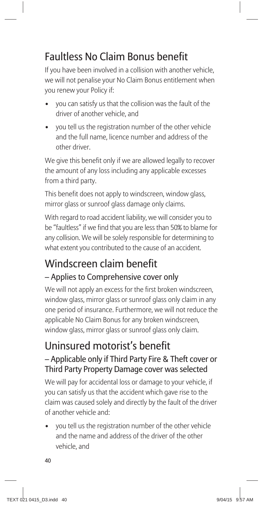# Faultless No Claim Bonus benefit

If you have been involved in a collision with another vehicle, we will not penalise your No Claim Bonus entitlement when you renew your Policy if:

- you can satisfy us that the collision was the fault of the driver of another vehicle, and
- you tell us the registration number of the other vehicle and the full name, licence number and address of the other driver.

We give this benefit only if we are allowed legally to recover the amount of any loss including any applicable excesses from a third party.

This benefit does not apply to windscreen, window glass, mirror glass or sunroof glass damage only claims.

With regard to road accident liability, we will consider you to be "faultless" if we find that you are less than 50% to blame for any collision. We will be solely responsible for determining to what extent you contributed to the cause of an accident.

# Windscreen claim benefit

#### – Applies to Comprehensive cover only

We will not apply an excess for the first broken windscreen, window glass, mirror glass or sunroof glass only claim in any one period of insurance. Furthermore, we will not reduce the applicable No Claim Bonus for any broken windscreen, window glass, mirror glass or sunroof glass only claim.

#### Uninsured motorist's benefit – Applicable only if Third Party Fire & Theft cover or Third Party Property Damage cover was selected

We will pay for accidental loss or damage to your vehicle, if you can satisfy us that the accident which gave rise to the claim was caused solely and directly by the fault of the driver of another vehicle and:

• you tell us the registration number of the other vehicle and the name and address of the driver of the other vehicle, and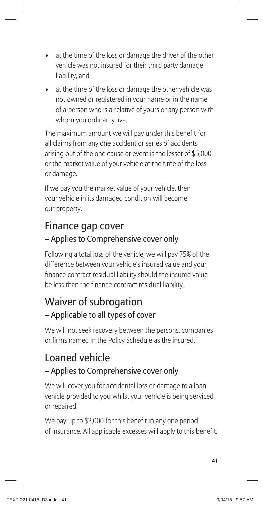- at the time of the loss or damage the driver of the other vehicle was not insured for their third party damage liability, and
- at the time of the loss or damage the other vehicle was not owned or registered in your name or in the name of a person who is a relative of yours or any person with whom you ordinarily live.

The maximum amount we will pay under this benefit for all claims from any one accident or series of accidents arising out of the one cause or event is the lesser of \$5,000 or the market value of your vehicle at the time of the loss or damage.

If we pay you the market value of your vehicle, then your vehicle in its damaged condition will become our property.

## Finance gap cover

#### – Applies to Comprehensive cover only

Following a total loss of the vehicle, we will pay 75% of the difference between your vehicle's insured value and your finance contract residual liability should the insured value be less than the finance contract residual liability.

#### Waiver of subrogation – Applicable to all types of cover

We will not seek recovery between the persons, companies or firms named in the Policy Schedule as the insured.

## Loaned vehicle – Applies to Comprehensive cover only

We will cover you for accidental loss or damage to a loan vehicle provided to you whilst your vehicle is being serviced or repaired.

We pay up to \$2,000 for this benefit in any one period of insurance. All applicable excesses will apply to this benefit.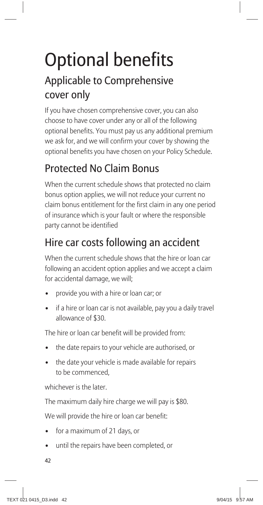# Optional benefits Applicable to Comprehensive cover only

If you have chosen comprehensive cover, you can also choose to have cover under any or all of the following optional benefits. You must pay us any additional premium we ask for, and we will confirm your cover by showing the optional benefits you have chosen on your Policy Schedule.

# Protected No Claim Bonus

When the current schedule shows that protected no claim bonus option applies, we will not reduce your current no claim bonus entitlement for the first claim in any one period of insurance which is your fault or where the responsible party cannot be identified

## Hire car costs following an accident

When the current schedule shows that the hire or loan car following an accident option applies and we accept a claim for accidental damage, we will;

- provide you with a hire or loan car; or
- if a hire or loan car is not available, pay you a daily travel allowance of \$30.

The hire or loan car benefit will be provided from:

- the date repairs to your vehicle are authorised, or
- the date your vehicle is made available for repairs to be commenced,

whichever is the later.

The maximum daily hire charge we will pay is \$80.

We will provide the hire or loan car benefit:

- for a maximum of 21 days, or
- until the repairs have been completed, or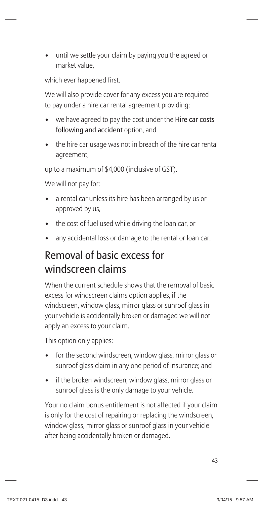• until we settle your claim by paying you the agreed or market value,

which ever happened first.

We will also provide cover for any excess you are required to pay under a hire car rental agreement providing:

- we have agreed to pay the cost under the Hire car costs following and accident option, and
- the hire car usage was not in breach of the hire car rental agreement,

up to a maximum of \$4,000 (inclusive of GST).

We will not pay for:

- a rental car unless its hire has been arranged by us or approved by us,
- the cost of fuel used while driving the loan car, or
- any accidental loss or damage to the rental or loan car.

## Removal of basic excess for windscreen claims

When the current schedule shows that the removal of basic excess for windscreen claims option applies, if the windscreen, window glass, mirror glass or sunroof glass in your vehicle is accidentally broken or damaged we will not apply an excess to your claim.

This option only applies:

- for the second windscreen, window glass, mirror glass or sunroof glass claim in any one period of insurance; and
- if the broken windscreen, window glass, mirror glass or sunroof glass is the only damage to your vehicle.

Your no claim bonus entitlement is not affected if your claim is only for the cost of repairing or replacing the windscreen, window glass, mirror glass or sunroof glass in your vehicle after being accidentally broken or damaged.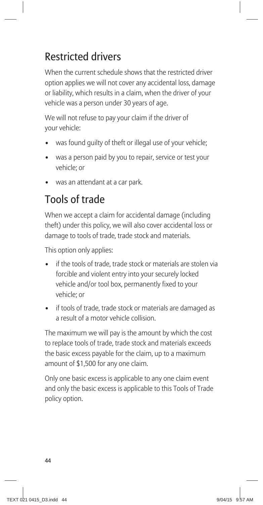# Restricted drivers

When the current schedule shows that the restricted driver option applies we will not cover any accidental loss, damage or liability, which results in a claim, when the driver of your vehicle was a person under 30 years of age.

We will not refuse to pay your claim if the driver of your vehicle:

- was found quilty of theft or illegal use of your vehicle;
- was a person paid by you to repair, service or test your vehicle; or
- was an attendant at a car park.

# Tools of trade

When we accept a claim for accidental damage (including theft) under this policy, we will also cover accidental loss or damage to tools of trade, trade stock and materials.

This option only applies:

- if the tools of trade, trade stock or materials are stolen via forcible and violent entry into your securely locked vehicle and/or tool box, permanently fixed to your vehicle; or
- if tools of trade, trade stock or materials are damaged as a result of a motor vehicle collision.

The maximum we will pay is the amount by which the cost to replace tools of trade, trade stock and materials exceeds the basic excess payable for the claim, up to a maximum amount of \$1,500 for any one claim.

Only one basic excess is applicable to any one claim event and only the basic excess is applicable to this Tools of Trade policy option.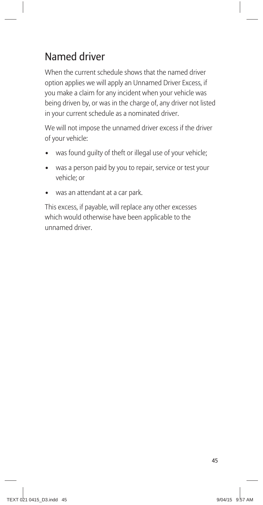# Named driver

When the current schedule shows that the named driver option applies we will apply an Unnamed Driver Excess, if you make a claim for any incident when your vehicle was being driven by, or was in the charge of, any driver not listed in your current schedule as a nominated driver.

We will not impose the unnamed driver excess if the driver of your vehicle:

- was found quilty of theft or illegal use of your vehicle;
- was a person paid by you to repair, service or test your vehicle; or
- was an attendant at a car park.

This excess, if payable, will replace any other excesses which would otherwise have been applicable to the unnamed driver.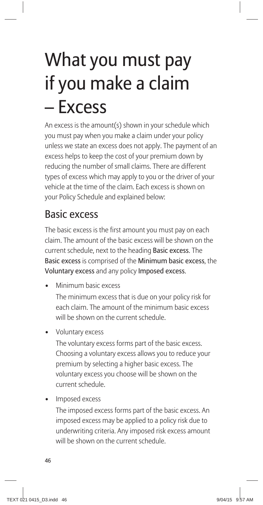# What you must pay if you make a claim – Excess

An excess is the amount(s) shown in your schedule which you must pay when you make a claim under your policy unless we state an excess does not apply. The payment of an excess helps to keep the cost of your premium down by reducing the number of small claims. There are different types of excess which may apply to you or the driver of your vehicle at the time of the claim. Each excess is shown on your Policy Schedule and explained below:

### Basic excess

The basic excess is the first amount you must pay on each claim. The amount of the basic excess will be shown on the current schedule, next to the heading Basic excess. The Basic excess is comprised of the Minimum basic excess, the Voluntary excess and any policy Imposed excess.

• Minimum basic excess

 The minimum excess that is due on your policy risk for each claim. The amount of the minimum basic excess will be shown on the current schedule.

• Voluntary excess

 The voluntary excess forms part of the basic excess. Choosing a voluntary excess allows you to reduce your premium by selecting a higher basic excess. The voluntary excess you choose will be shown on the current schedule.

• Imposed excess

 The imposed excess forms part of the basic excess. An imposed excess may be applied to a policy risk due to underwriting criteria. Any imposed risk excess amount will be shown on the current schedule.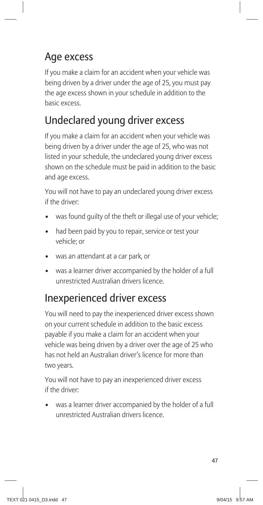## Age excess

If you make a claim for an accident when your vehicle was being driven by a driver under the age of 25, you must pay the age excess shown in your schedule in addition to the basic excess.

## Undeclared young driver excess

If you make a claim for an accident when your vehicle was being driven by a driver under the age of 25, who was not listed in your schedule, the undeclared young driver excess shown on the schedule must be paid in addition to the basic and age excess.

You will not have to pay an undeclared young driver excess if the driver:

- was found quilty of the theft or illegal use of your vehicle;
- had been paid by you to repair, service or test your vehicle; or
- was an attendant at a car park, or
- was a learner driver accompanied by the holder of a full unrestricted Australian drivers licence.

## Inexperienced driver excess

You will need to pay the inexperienced driver excess shown on your current schedule in addition to the basic excess payable if you make a claim for an accident when your vehicle was being driven by a driver over the age of 25 who has not held an Australian driver's licence for more than two years.

You will not have to pay an inexperienced driver excess if the driver:

was a learner driver accompanied by the holder of a full unrestricted Australian drivers licence.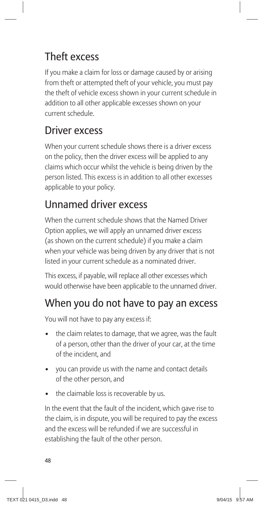# Theft excess

If you make a claim for loss or damage caused by or arising from theft or attempted theft of your vehicle, you must pay the theft of vehicle excess shown in your current schedule in addition to all other applicable excesses shown on your current schedule.

### Driver excess

When your current schedule shows there is a driver excess on the policy, then the driver excess will be applied to any claims which occur whilst the vehicle is being driven by the person listed. This excess is in addition to all other excesses applicable to your policy.

## Unnamed driver excess

When the current schedule shows that the Named Driver Option applies, we will apply an unnamed driver excess (as shown on the current schedule) if you make a claim when your vehicle was being driven by any driver that is not listed in your current schedule as a nominated driver.

This excess, if payable, will replace all other excesses which would otherwise have been applicable to the unnamed driver.

## When you do not have to pay an excess

You will not have to pay any excess if:

- the claim relates to damage, that we agree, was the fault of a person, other than the driver of your car, at the time of the incident, and
- you can provide us with the name and contact details of the other person, and
- the claimable loss is recoverable by us.

In the event that the fault of the incident, which gave rise to the claim, is in dispute, you will be required to pay the excess and the excess will be refunded if we are successful in establishing the fault of the other person.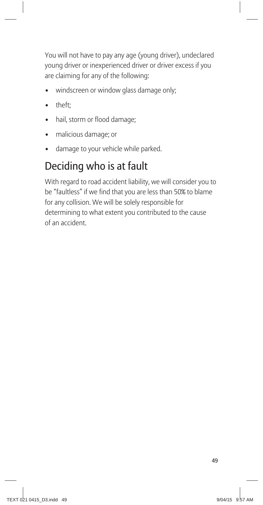You will not have to pay any age (young driver), undeclared young driver or inexperienced driver or driver excess if you are claiming for any of the following:

- windscreen or window glass damage only;
- theft;
- hail, storm or flood damage;
- malicious damage; or
- damage to your vehicle while parked.

## Deciding who is at fault

With regard to road accident liability, we will consider you to be "faultless" if we find that you are less than 50% to blame for any collision. We will be solely responsible for determining to what extent you contributed to the cause of an accident.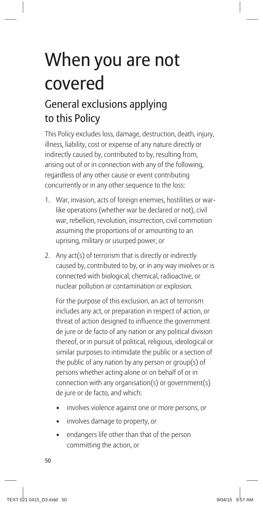# When you are not covered

## General exclusions applying to this Policy

This Policy excludes loss, damage, destruction, death, injury, illness, liability, cost or expense of any nature directly or indirectly caused by, contributed to by, resulting from, arising out of or in connection with any of the following, regardless of any other cause or event contributing concurrently or in any other sequence to the loss:

- 1. War, invasion, acts of foreign enemies, hostilities or warlike operations (whether war be declared or not), civil war, rebellion, revolution, insurrection, civil commotion assuming the proportions of or amounting to an uprising, military or usurped power, or
- 2. Any act(s) of terrorism that is directly or indirectly caused by, contributed to by, or in any way involves or is connected with biological, chemical, radioactive, or nuclear pollution or contamination or explosion.

 For the purpose of this exclusion, an act of terrorism includes any act, or preparation in respect of action, or threat of action designed to influence the government de jure or de facto of any nation or any political division thereof, or in pursuit of political, religious, ideological or similar purposes to intimidate the public or a section of the public of any nation by any person or group(s) of persons whether acting alone or on behalf of or in connection with any organisation(s) or government(s) de jure or de facto, and which:

- involves violence against one or more persons, or
- involves damage to property, or
- endangers life other than that of the person committing the action, or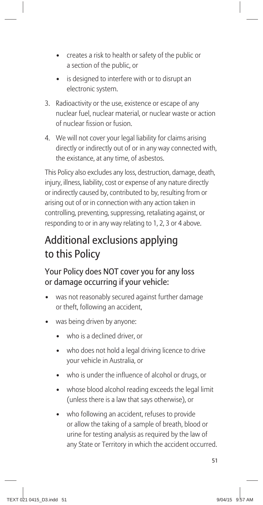- creates a risk to health or safety of the public or a section of the public, or
- is designed to interfere with or to disrupt an electronic system.
- 3. Radioactivity or the use, existence or escape of any nuclear fuel, nuclear material, or nuclear waste or action of nuclear fission or fusion.
- 4. We will not cover your legal liability for claims arising directly or indirectly out of or in any way connected with, the existance, at any time, of asbestos.

This Policy also excludes any loss, destruction, damage, death, injury, illness, liability, cost or expense of any nature directly or indirectly caused by, contributed to by, resulting from or arising out of or in connection with any action taken in controlling, preventing, suppressing, retaliating against, or responding to or in any way relating to 1, 2, 3 or 4 above.

## Additional exclusions applying to this Policy

#### Your Policy does NOT cover you for any loss or damage occurring if your vehicle:

- was not reasonably secured against further damage or theft, following an accident,
- was being driven by anyone:
	- who is a declined driver, or
	- who does not hold a legal driving licence to drive your vehicle in Australia, or
	- who is under the influence of alcohol or drugs, or
	- whose blood alcohol reading exceeds the legal limit (unless there is a law that says otherwise), or
	- who following an accident, refuses to provide or allow the taking of a sample of breath, blood or urine for testing analysis as required by the law of any State or Territory in which the accident occurred.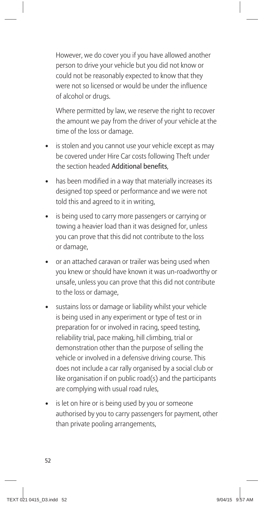However, we do cover you if you have allowed another person to drive your vehicle but you did not know or could not be reasonably expected to know that they were not so licensed or would be under the influence of alcohol or drugs.

 Where permitted by law, we reserve the right to recover the amount we pay from the driver of your vehicle at the time of the loss or damage.

- is stolen and you cannot use your vehicle except as may be covered under Hire Car costs following Theft under the section headed Additional benefits,
- has been modified in a way that materially increases its designed top speed or performance and we were not told this and agreed to it in writing,
- is being used to carry more passengers or carrying or towing a heavier load than it was designed for, unless you can prove that this did not contribute to the loss or damage,
- or an attached caravan or trailer was being used when you knew or should have known it was un-roadworthy or unsafe, unless you can prove that this did not contribute to the loss or damage,
- sustains loss or damage or liability whilst your vehicle is being used in any experiment or type of test or in preparation for or involved in racing, speed testing, reliability trial, pace making, hill climbing, trial or demonstration other than the purpose of selling the vehicle or involved in a defensive driving course. This does not include a car rally organised by a social club or like organisation if on public road(s) and the participants are complying with usual road rules,
- is let on hire or is being used by you or someone authorised by you to carry passengers for payment, other than private pooling arrangements,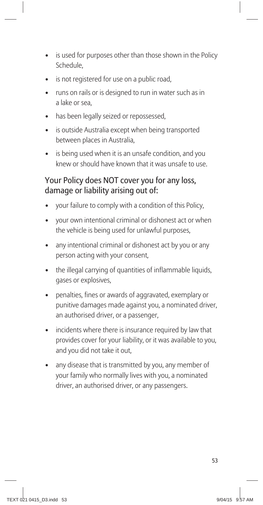- is used for purposes other than those shown in the Policy Schedule,
- is not registered for use on a public road,
- runs on rails or is designed to run in water such as in a lake or sea,
- has been legally seized or repossessed,
- is outside Australia except when being transported between places in Australia,
- is being used when it is an unsafe condition, and you knew or should have known that it was unsafe to use.

#### Your Policy does NOT cover you for any loss, damage or liability arising out of:

- your failure to comply with a condition of this Policy,
- your own intentional criminal or dishonest act or when the vehicle is being used for unlawful purposes,
- any intentional criminal or dishonest act by you or any person acting with your consent,
- the illegal carrying of quantities of inflammable liquids, gases or explosives,
- penalties, fines or awards of aggravated, exemplary or punitive damages made against you, a nominated driver, an authorised driver, or a passenger,
- incidents where there is insurance required by law that provides cover for your liability, or it was available to you, and you did not take it out,
- any disease that is transmitted by you, any member of your family who normally lives with you, a nominated driver, an authorised driver, or any passengers.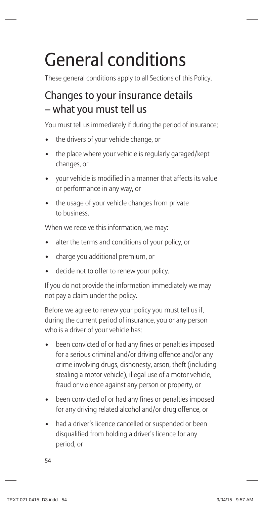# General conditions

These general conditions apply to all Sections of this Policy.

## Changes to your insurance details – what you must tell us

You must tell us immediately if during the period of insurance;

- the drivers of your vehicle change, or
- the place where your vehicle is regularly garaged/kept changes, or
- your vehicle is modified in a manner that affects its value or performance in any way, or
- the usage of your vehicle changes from private to business.

When we receive this information, we may:

- alter the terms and conditions of your policy, or
- charge you additional premium, or
- decide not to offer to renew your policy.

If you do not provide the information immediately we may not pay a claim under the policy.

Before we agree to renew your policy you must tell us if, during the current period of insurance, you or any person who is a driver of your vehicle has:

- been convicted of or had any fines or penalties imposed for a serious criminal and/or driving offence and/or any crime involving drugs, dishonesty, arson, theft (including stealing a motor vehicle), illegal use of a motor vehicle, fraud or violence against any person or property, or
- been convicted of or had any fines or penalties imposed for any driving related alcohol and/or drug offence, or
- had a driver's licence cancelled or suspended or been disqualified from holding a driver's licence for any period, or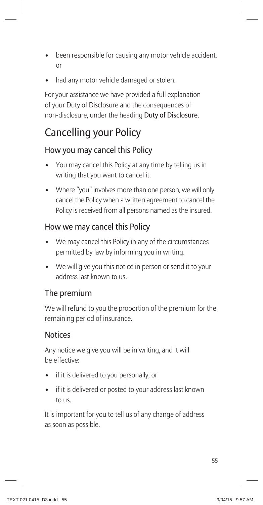- been responsible for causing any motor vehicle accident, or
- had any motor vehicle damaged or stolen.

For your assistance we have provided a full explanation of your Duty of Disclosure and the consequences of non-disclosure, under the heading Duty of Disclosure.

## Cancelling your Policy

#### How you may cancel this Policy

- You may cancel this Policy at any time by telling us in writing that you want to cancel it.
- Where "you" involves more than one person, we will only cancel the Policy when a written agreement to cancel the Policy is received from all persons named as the insured.

#### How we may cancel this Policy

- We may cancel this Policy in any of the circumstances permitted by law by informing you in writing.
- We will give you this notice in person or send it to your address last known to us.

#### The premium

We will refund to you the proportion of the premium for the remaining period of insurance.

#### **Notices**

Any notice we give you will be in writing, and it will be effective:

- if it is delivered to you personally, or
- if it is delivered or posted to your address last known to us.

It is important for you to tell us of any change of address as soon as possible.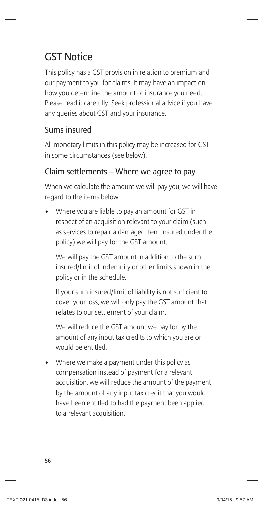# GST Notice

This policy has a GST provision in relation to premium and our payment to you for claims. It may have an impact on how you determine the amount of insurance you need. Please read it carefully. Seek professional advice if you have any queries about GST and your insurance.

#### Sums insured

All monetary limits in this policy may be increased for GST in some circumstances (see below).

#### Claim settlements – Where we agree to pay

When we calculate the amount we will pay you, we will have regard to the items below:

• Where you are liable to pay an amount for GST in respect of an acquisition relevant to your claim (such as services to repair a damaged item insured under the policy) we will pay for the GST amount.

 We will pay the GST amount in addition to the sum insured/limit of indemnity or other limits shown in the policy or in the schedule.

 If your sum insured/limit of liability is not sufficient to cover your loss, we will only pay the GST amount that relates to our settlement of your claim.

 We will reduce the GST amount we pay for by the amount of any input tax credits to which you are or would be entitled.

• Where we make a payment under this policy as compensation instead of payment for a relevant acquisition, we will reduce the amount of the payment by the amount of any input tax credit that you would have been entitled to had the payment been applied to a relevant acquisition.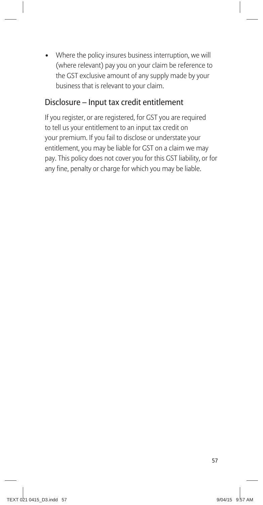• Where the policy insures business interruption, we will (where relevant) pay you on your claim be reference to the GST exclusive amount of any supply made by your business that is relevant to your claim.

#### Disclosure – Input tax credit entitlement

If you register, or are registered, for GST you are required to tell us your entitlement to an input tax credit on your premium. If you fail to disclose or understate your entitlement, you may be liable for GST on a claim we may pay. This policy does not cover you for this GST liability, or for any fine, penalty or charge for which you may be liable.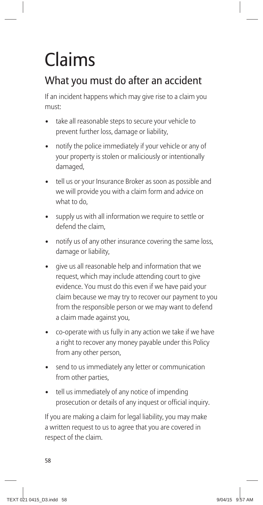# Claims

## What you must do after an accident

If an incident happens which may give rise to a claim you must:

- take all reasonable steps to secure your vehicle to prevent further loss, damage or liability,
- notify the police immediately if your vehicle or any of your property is stolen or maliciously or intentionally damaged,
- tell us or your Insurance Broker as soon as possible and we will provide you with a claim form and advice on what to do,
- supply us with all information we require to settle or defend the claim,
- notify us of any other insurance covering the same loss, damage or liability,
- give us all reasonable help and information that we request, which may include attending court to give evidence. You must do this even if we have paid your claim because we may try to recover our payment to you from the responsible person or we may want to defend a claim made against you,
- co-operate with us fully in any action we take if we have a right to recover any money payable under this Policy from any other person,
- send to us immediately any letter or communication from other parties,
- tell us immediately of any notice of impending prosecution or details of any inquest or official inquiry.

If you are making a claim for legal liability, you may make a written request to us to agree that you are covered in respect of the claim.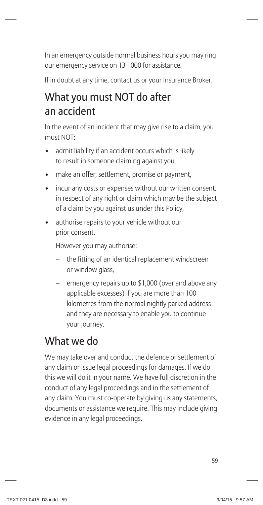In an emergency outside normal business hours you may ring our emergency service on 13 1000 for assistance.

If in doubt at any time, contact us or your Insurance Broker.

## What you must NOT do after an accident

In the event of an incident that may give rise to a claim, you must NOT:

- admit liability if an accident occurs which is likely to result in someone claiming against you,
- make an offer, settlement, promise or payment,
- incur any costs or expenses without our written consent, in respect of any right or claim which may be the subject of a claim by you against us under this Policy,
- authorise repairs to your vehicle without our prior consent.

However you may authorise:

- the fitting of an identical replacement windscreen or window glass,
- emergency repairs up to \$1,000 (over and above any applicable excesses) if you are more than 100 kilometres from the normal nightly parked address and they are necessary to enable you to continue your journey.

## What we do

We may take over and conduct the defence or settlement of any claim or issue legal proceedings for damages. If we do this we will do it in your name. We have full discretion in the conduct of any legal proceedings and in the settlement of any claim. You must co-operate by giving us any statements, documents or assistance we require. This may include giving evidence in any legal proceedings.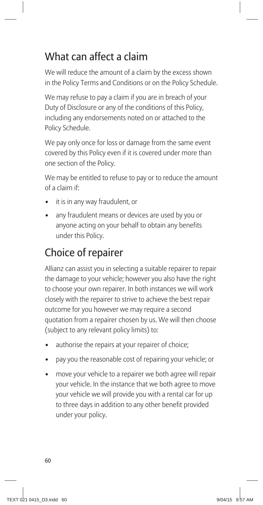## What can affect a claim

We will reduce the amount of a claim by the excess shown in the Policy Terms and Conditions or on the Policy Schedule.

We may refuse to pay a claim if you are in breach of your Duty of Disclosure or any of the conditions of this Policy, including any endorsements noted on or attached to the Policy Schedule.

We pay only once for loss or damage from the same event covered by this Policy even if it is covered under more than one section of the Policy.

We may be entitled to refuse to pay or to reduce the amount of a claim if:

- it is in any way fraudulent, or
- any fraudulent means or devices are used by you or anyone acting on your behalf to obtain any benefits under this Policy.

## Choice of repairer

Allianz can assist you in selecting a suitable repairer to repair the damage to your vehicle; however you also have the right to choose your own repairer. In both instances we will work closely with the repairer to strive to achieve the best repair outcome for you however we may require a second quotation from a repairer chosen by us. We will then choose (subject to any relevant policy limits) to:

- authorise the repairs at your repairer of choice;
- pay you the reasonable cost of repairing your vehicle; or
- move your vehicle to a repairer we both agree will repair your vehicle. In the instance that we both agree to move your vehicle we will provide you with a rental car for up to three days in addition to any other benefit provided under your policy.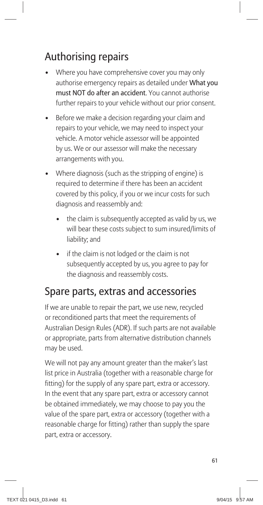# Authorising repairs

- Where you have comprehensive cover you may only authorise emergency repairs as detailed under What you must NOT do after an accident. You cannot authorise further repairs to your vehicle without our prior consent.
- Before we make a decision regarding your claim and repairs to your vehicle, we may need to inspect your vehicle. A motor vehicle assessor will be appointed by us. We or our assessor will make the necessary arrangements with you.
- Where diagnosis (such as the stripping of engine) is required to determine if there has been an accident covered by this policy, if you or we incur costs for such diagnosis and reassembly and:
	- the claim is subsequently accepted as valid by us, we will bear these costs subject to sum insured/limits of liability; and
	- if the claim is not lodged or the claim is not subsequently accepted by us, you agree to pay for the diagnosis and reassembly costs.

### Spare parts, extras and accessories

If we are unable to repair the part, we use new, recycled or reconditioned parts that meet the requirements of Australian Design Rules (ADR). If such parts are not available or appropriate, parts from alternative distribution channels may be used.

We will not pay any amount greater than the maker's last list price in Australia (together with a reasonable charge for fitting) for the supply of any spare part, extra or accessory. In the event that any spare part, extra or accessory cannot be obtained immediately, we may choose to pay you the value of the spare part, extra or accessory (together with a reasonable charge for fitting) rather than supply the spare part, extra or accessory.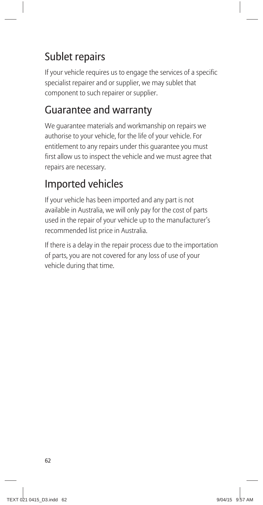# Sublet repairs

If your vehicle requires us to engage the services of a specific specialist repairer and or supplier, we may sublet that component to such repairer or supplier.

### Guarantee and warranty

We guarantee materials and workmanship on repairs we authorise to your vehicle, for the life of your vehicle. For entitlement to any repairs under this guarantee you must first allow us to inspect the vehicle and we must agree that repairs are necessary.

## Imported vehicles

If your vehicle has been imported and any part is not available in Australia, we will only pay for the cost of parts used in the repair of your vehicle up to the manufacturer's recommended list price in Australia.

If there is a delay in the repair process due to the importation of parts, you are not covered for any loss of use of your vehicle during that time.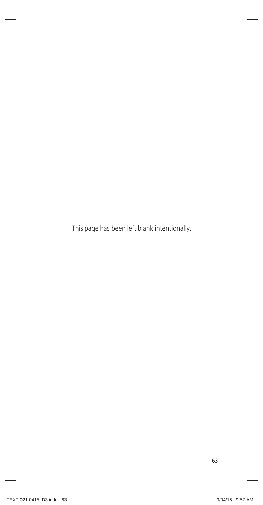This page has been left blank intentionally.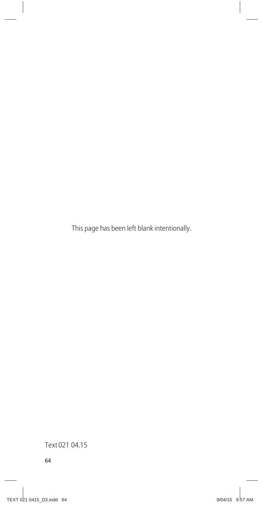This page has been left blank intentionally.

Text 021 04.15